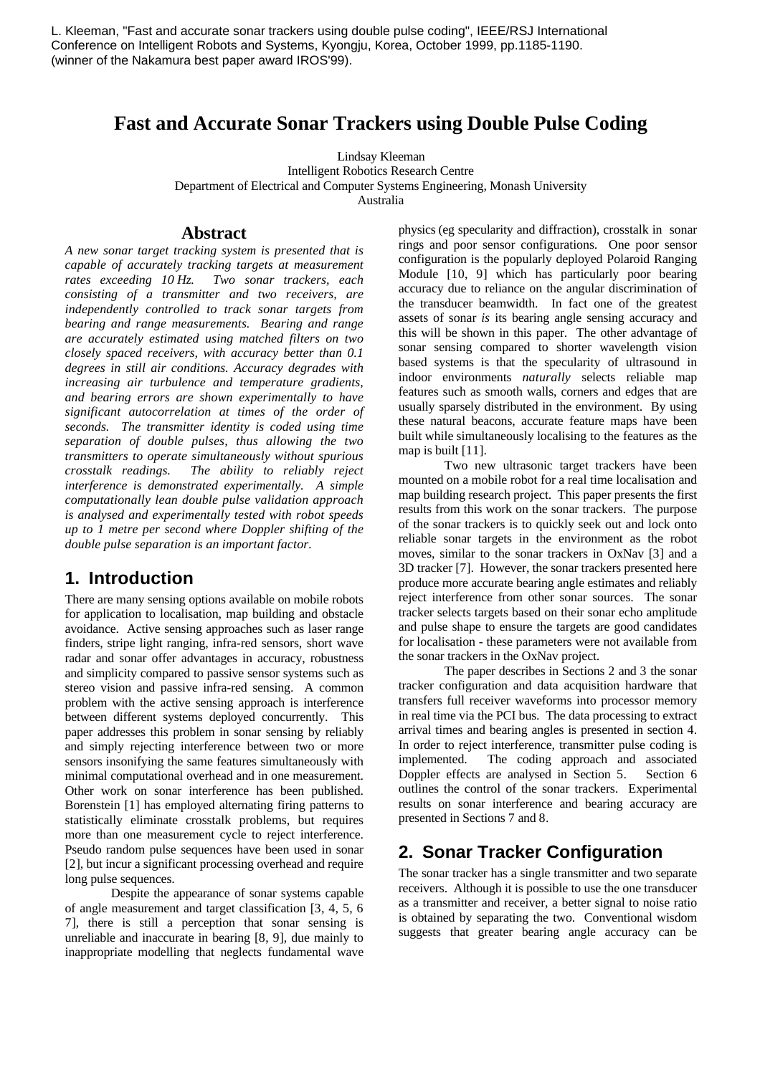# **Fast and Accurate Sonar Trackers using Double Pulse Coding**

Lindsay Kleeman Intelligent Robotics Research Centre Department of Electrical and Computer Systems Engineering, Monash University Australia

#### **Abstract**

*A new sonar target tracking system is presented that is capable of accurately tracking targets at measurement rates exceeding 10 Hz. Two sonar trackers, each consisting of a transmitter and two receivers, are independently controlled to track sonar targets from bearing and range measurements. Bearing and range are accurately estimated using matched filters on two closely spaced receivers, with accuracy better than 0.1 degrees in still air conditions. Accuracy degrades with increasing air turbulence and temperature gradients, and bearing errors are shown experimentally to have significant autocorrelation at times of the order of seconds. The transmitter identity is coded using time separation of double pulses, thus allowing the two transmitters to operate simultaneously without spurious crosstalk readings. The ability to reliably reject interference is demonstrated experimentally. A simple computationally lean double pulse validation approach is analysed and experimentally tested with robot speeds up to 1 metre per second where Doppler shifting of the double pulse separation is an important factor.*

#### **1. Introduction**

There are many sensing options available on mobile robots for application to localisation, map building and obstacle avoidance. Active sensing approaches such as laser range finders, stripe light ranging, infra-red sensors, short wave radar and sonar offer advantages in accuracy, robustness and simplicity compared to passive sensor systems such as stereo vision and passive infra-red sensing. A common problem with the active sensing approach is interference between different systems deployed concurrently. This paper addresses this problem in sonar sensing by reliably and simply rejecting interference between two or more sensors insonifying the same features simultaneously with minimal computational overhead and in one measurement. Other work on sonar interference has been published. Borenstein [1] has employed alternating firing patterns to statistically eliminate crosstalk problems, but requires more than one measurement cycle to reject interference. Pseudo random pulse sequences have been used in sonar [2], but incur a significant processing overhead and require long pulse sequences.

Despite the appearance of sonar systems capable of angle measurement and target classification [3, 4, 5, 6 7], there is still a perception that sonar sensing is unreliable and inaccurate in bearing [8, 9], due mainly to inappropriate modelling that neglects fundamental wave

physics (eg specularity and diffraction), crosstalk in sonar rings and poor sensor configurations. One poor sensor configuration is the popularly deployed Polaroid Ranging Module [10, 9] which has particularly poor bearing accuracy due to reliance on the angular discrimination of the transducer beamwidth. In fact one of the greatest assets of sonar *is* its bearing angle sensing accuracy and this will be shown in this paper. The other advantage of sonar sensing compared to shorter wavelength vision based systems is that the specularity of ultrasound in indoor environments *naturally* selects reliable map features such as smooth walls, corners and edges that are usually sparsely distributed in the environment. By using these natural beacons, accurate feature maps have been built while simultaneously localising to the features as the map is built [11].

Two new ultrasonic target trackers have been mounted on a mobile robot for a real time localisation and map building research project. This paper presents the first results from this work on the sonar trackers. The purpose of the sonar trackers is to quickly seek out and lock onto reliable sonar targets in the environment as the robot moves, similar to the sonar trackers in OxNav [3] and a 3D tracker [7]. However, the sonar trackers presented here produce more accurate bearing angle estimates and reliably reject interference from other sonar sources. The sonar tracker selects targets based on their sonar echo amplitude and pulse shape to ensure the targets are good candidates for localisation - these parameters were not available from the sonar trackers in the OxNav project.

The paper describes in Sections 2 and 3 the sonar tracker configuration and data acquisition hardware that transfers full receiver waveforms into processor memory in real time via the PCI bus. The data processing to extract arrival times and bearing angles is presented in section 4. In order to reject interference, transmitter pulse coding is implemented. The coding approach and associated Doppler effects are analysed in Section 5. Section 6 outlines the control of the sonar trackers. Experimental results on sonar interference and bearing accuracy are presented in Sections 7 and 8.

## **2. Sonar Tracker Configuration**

The sonar tracker has a single transmitter and two separate receivers. Although it is possible to use the one transducer as a transmitter and receiver, a better signal to noise ratio is obtained by separating the two. Conventional wisdom suggests that greater bearing angle accuracy can be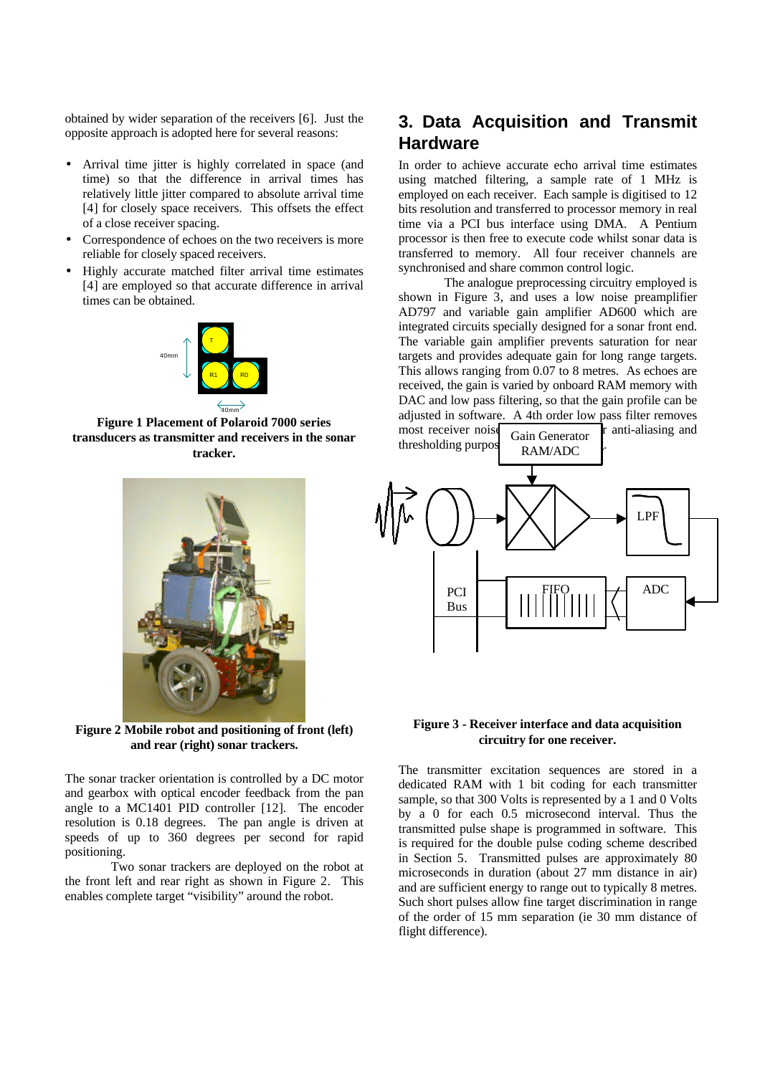obtained by wider separation of the receivers [6]. Just the opposite approach is adopted here for several reasons:

- Arrival time jitter is highly correlated in space (and time) so that the difference in arrival times has relatively little jitter compared to absolute arrival time [4] for closely space receivers. This offsets the effect of a close receiver spacing.
- Correspondence of echoes on the two receivers is more reliable for closely spaced receivers.
- Highly accurate matched filter arrival time estimates [4] are employed so that accurate difference in arrival times can be obtained.



**Figure 1 Placement of Polaroid 7000 series transducers as transmitter and receivers in the sonar tracker.**



**Figure 2 Mobile robot and positioning of front (left) and rear (right) sonar trackers.**

The sonar tracker orientation is controlled by a DC motor and gearbox with optical encoder feedback from the pan angle to a MC1401 PID controller [12]. The encoder resolution is 0.18 degrees. The pan angle is driven at speeds of up to 360 degrees per second for rapid positioning.

Two sonar trackers are deployed on the robot at the front left and rear right as shown in Figure 2. This enables complete target "visibility" around the robot.

# **3. Data Acquisition and Transmit Hardware**

In order to achieve accurate echo arrival time estimates using matched filtering, a sample rate of 1 MHz is employed on each receiver. Each sample is digitised to 12 bits resolution and transferred to processor memory in real time via a PCI bus interface using DMA. A Pentium processor is then free to execute code whilst sonar data is transferred to memory. All four receiver channels are synchronised and share common control logic.

The analogue preprocessing circuitry employed is shown in Figure 3, and uses a low noise preamplifier AD797 and variable gain amplifier AD600 which are integrated circuits specially designed for a sonar front end. The variable gain amplifier prevents saturation for near targets and provides adequate gain for long range targets. This allows ranging from 0.07 to 8 metres. As echoes are received, the gain is varied by onboard RAM memory with DAC and low pass filtering, so that the gain profile can be adjusted in software. A 4th order low pass filter removes most receiver noise  $\overline{a}$  for anti-aliasing and

Gain Generator

thresholding purpos



#### **Figure 3 - Receiver interface and data acquisition circuitry for one receiver.**

The transmitter excitation sequences are stored in a dedicated RAM with 1 bit coding for each transmitter sample, so that 300 Volts is represented by a 1 and 0 Volts by a 0 for each 0.5 microsecond interval. Thus the transmitted pulse shape is programmed in software. This is required for the double pulse coding scheme described in Section 5. Transmitted pulses are approximately 80 microseconds in duration (about 27 mm distance in air) and are sufficient energy to range out to typically 8 metres. Such short pulses allow fine target discrimination in range of the order of 15 mm separation (ie 30 mm distance of flight difference).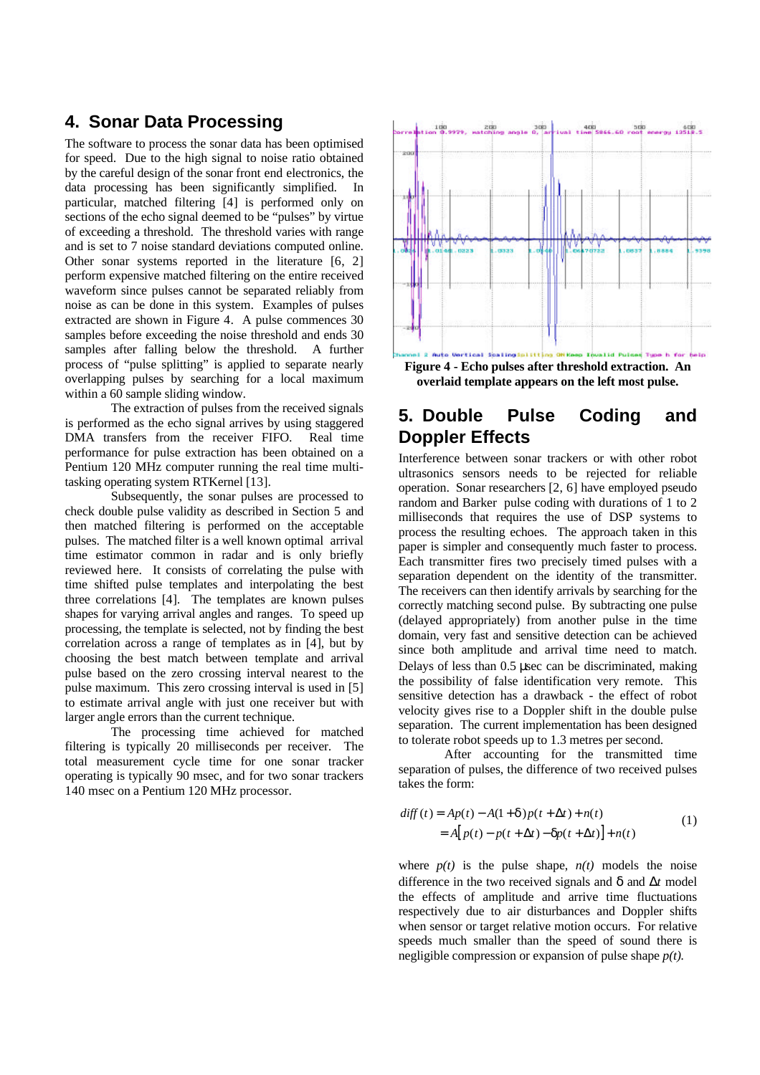## **4. Sonar Data Processing**

The software to process the sonar data has been optimised for speed. Due to the high signal to noise ratio obtained by the careful design of the sonar front end electronics, the data processing has been significantly simplified. In particular, matched filtering [4] is performed only on sections of the echo signal deemed to be "pulses" by virtue of exceeding a threshold. The threshold varies with range and is set to 7 noise standard deviations computed online. Other sonar systems reported in the literature [6, 2] perform expensive matched filtering on the entire received waveform since pulses cannot be separated reliably from noise as can be done in this system. Examples of pulses extracted are shown in Figure 4. A pulse commences 30 samples before exceeding the noise threshold and ends 30 samples after falling below the threshold. A further process of "pulse splitting" is applied to separate nearly overlapping pulses by searching for a local maximum within a 60 sample sliding window.

The extraction of pulses from the received signals is performed as the echo signal arrives by using staggered DMA transfers from the receiver FIFO. Real time performance for pulse extraction has been obtained on a Pentium 120 MHz computer running the real time multitasking operating system RTKernel [13].

Subsequently, the sonar pulses are processed to check double pulse validity as described in Section 5 and then matched filtering is performed on the acceptable pulses. The matched filter is a well known optimal arrival time estimator common in radar and is only briefly reviewed here. It consists of correlating the pulse with time shifted pulse templates and interpolating the best three correlations [4]. The templates are known pulses shapes for varying arrival angles and ranges. To speed up processing, the template is selected, not by finding the best correlation across a range of templates as in [4], but by choosing the best match between template and arrival pulse based on the zero crossing interval nearest to the pulse maximum. This zero crossing interval is used in [5] to estimate arrival angle with just one receiver but with larger angle errors than the current technique.

The processing time achieved for matched filtering is typically 20 milliseconds per receiver. The total measurement cycle time for one sonar tracker operating is typically 90 msec, and for two sonar trackers 140 msec on a Pentium 120 MHz processor.



# **5. Double Pulse Coding and Doppler Effects**

Interference between sonar trackers or with other robot ultrasonics sensors needs to be rejected for reliable operation. Sonar researchers [2, 6] have employed pseudo random and Barker pulse coding with durations of 1 to 2 milliseconds that requires the use of DSP systems to process the resulting echoes. The approach taken in this paper is simpler and consequently much faster to process. Each transmitter fires two precisely timed pulses with a separation dependent on the identity of the transmitter. The receivers can then identify arrivals by searching for the correctly matching second pulse. By subtracting one pulse (delayed appropriately) from another pulse in the time domain, very fast and sensitive detection can be achieved since both amplitude and arrival time need to match. Delays of less than 0.5 μsec can be discriminated, making the possibility of false identification very remote. This sensitive detection has a drawback - the effect of robot velocity gives rise to a Doppler shift in the double pulse separation. The current implementation has been designed to tolerate robot speeds up to 1.3 metres per second.

After accounting for the transmitted time separation of pulses, the difference of two received pulses takes the form:

$$
diff(t) = Ap(t) - A(1+d)p(t + \Delta t) + n(t)
$$
  
= A[p(t) - p(t + \Delta t) - dp(t + \Delta t)] + n(t) (1)

where  $p(t)$  is the pulse shape,  $n(t)$  models the noise difference in the two received signals and δ and Δ*t* model the effects of amplitude and arrive time fluctuations respectively due to air disturbances and Doppler shifts when sensor or target relative motion occurs. For relative speeds much smaller than the speed of sound there is negligible compression or expansion of pulse shape *p(t).*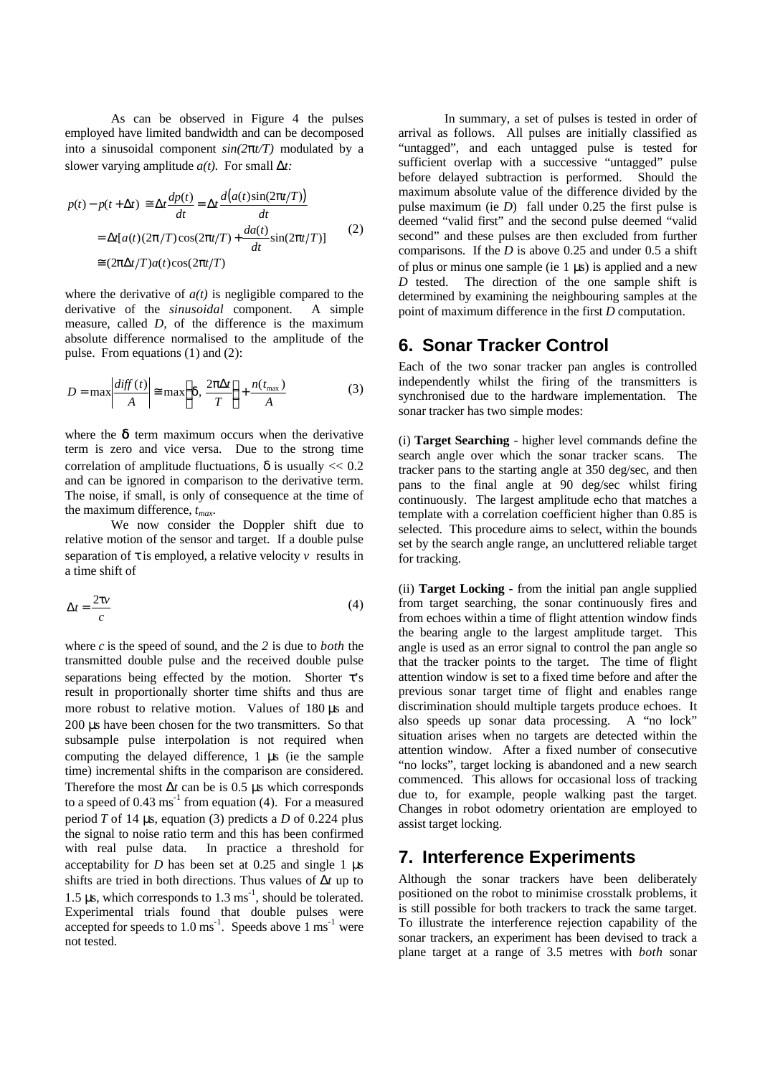As can be observed in Figure 4 the pulses employed have limited bandwidth and can be decomposed into a sinusoidal component *sin(2pt/T)* modulated by a slower varying amplitude *a(t).* For small Δ*t:*

$$
p(t) - p(t + \mathbf{D}t) \approx \mathbf{D}t \frac{dp(t)}{dt} = \mathbf{D}t \frac{d(a(t)\sin(2\mathbf{p}t/T))}{dt}
$$
  
=  $\mathbf{D}t[a(t)(2\mathbf{p}/T)\cos(2\mathbf{p}t/T) + \frac{da(t)}{dt}\sin(2\mathbf{p}t/T)]$  (2)  
 $\approx (2\mathbf{p}\mathbf{D}t/T)a(t)\cos(2\mathbf{p}t/T)$ 

where the derivative of  $a(t)$  is negligible compared to the derivative of the *sinusoidal* component. A simple measure, called *D,* of the difference is the maximum absolute difference normalised to the amplitude of the pulse. From equations (1) and (2):

$$
D = \max \left| \frac{diff(t)}{A} \right| \approx \max \left\{ d, \frac{2p\Delta t}{T} \right\} + \frac{n(t_{\max})}{A}
$$
 (3)

where the  $\delta$  term maximum occurs when the derivative term is zero and vice versa. Due to the strong time correlation of amplitude fluctuations,  $\delta$  is usually << 0.2 and can be ignored in comparison to the derivative term. The noise, if small, is only of consequence at the time of the maximum difference, *tmax*.

We now consider the Doppler shift due to relative motion of the sensor and target. If a double pulse separation of τ is employed, a relative velocity *v* results in a time shift of

$$
Dt = \frac{2tv}{c} \tag{4}
$$

where *c* is the speed of sound, and the *2* is due to *both* the transmitted double pulse and the received double pulse separations being effected by the motion. Shorter τ's result in proportionally shorter time shifts and thus are more robust to relative motion. Values of 180 μs and 200 μs have been chosen for the two transmitters. So that subsample pulse interpolation is not required when computing the delayed difference, 1 μs (ie the sample time) incremental shifts in the comparison are considered. Therefore the most  $\mathbf{D}t$  can be is 0.5 μs which corresponds to a speed of  $0.43 \text{ ms}^{-1}$  from equation (4). For a measured period *T* of 14 μs, equation (3) predicts a *D* of 0.224 plus the signal to noise ratio term and this has been confirmed with real pulse data. In practice a threshold for acceptability for *D* has been set at 0.25 and single 1 μs shifts are tried in both directions. Thus values of *Dt* up to 1.5 μs, which corresponds to  $1.3 \text{ ms}^{-1}$ , should be tolerated. Experimental trials found that double pulses were accepted for speeds to  $1.0 \text{ ms}^{-1}$ . Speeds above  $1 \text{ ms}^{-1}$  were not tested.

In summary, a set of pulses is tested in order of arrival as follows. All pulses are initially classified as "untagged", and each untagged pulse is tested for sufficient overlap with a successive "untagged" pulse before delayed subtraction is performed. Should the maximum absolute value of the difference divided by the pulse maximum (ie *D*) fall under 0.25 the first pulse is deemed "valid first" and the second pulse deemed "valid second" and these pulses are then excluded from further comparisons. If the *D* is above 0.25 and under 0.5 a shift of plus or minus one sample (ie 1 μs) is applied and a new *D* tested. The direction of the one sample shift is determined by examining the neighbouring samples at the point of maximum difference in the first *D* computation.

#### **6. Sonar Tracker Control**

Each of the two sonar tracker pan angles is controlled independently whilst the firing of the transmitters is synchronised due to the hardware implementation. The sonar tracker has two simple modes:

(i) **Target Searching** - higher level commands define the search angle over which the sonar tracker scans. The tracker pans to the starting angle at 350 deg/sec, and then pans to the final angle at 90 deg/sec whilst firing continuously. The largest amplitude echo that matches a template with a correlation coefficient higher than 0.85 is selected. This procedure aims to select, within the bounds set by the search angle range, an uncluttered reliable target for tracking.

(ii) **Target Locking** - from the initial pan angle supplied from target searching, the sonar continuously fires and from echoes within a time of flight attention window finds the bearing angle to the largest amplitude target. This angle is used as an error signal to control the pan angle so that the tracker points to the target. The time of flight attention window is set to a fixed time before and after the previous sonar target time of flight and enables range discrimination should multiple targets produce echoes. It also speeds up sonar data processing. A "no lock" situation arises when no targets are detected within the attention window. After a fixed number of consecutive "no locks", target locking is abandoned and a new search commenced. This allows for occasional loss of tracking due to, for example, people walking past the target. Changes in robot odometry orientation are employed to assist target locking.

## **7. Interference Experiments**

Although the sonar trackers have been deliberately positioned on the robot to minimise crosstalk problems, it is still possible for both trackers to track the same target. To illustrate the interference rejection capability of the sonar trackers, an experiment has been devised to track a plane target at a range of 3.5 metres with *both* sonar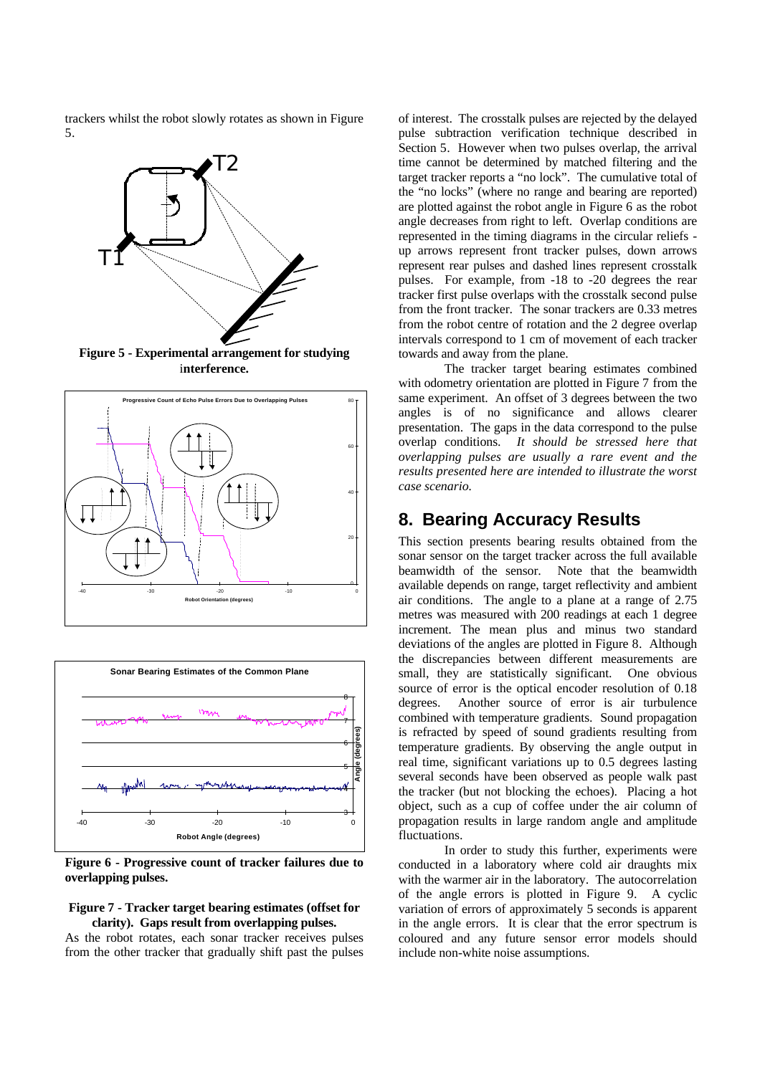trackers whilst the robot slowly rotates as shown in Figure 5.



**Figure 5 - Experimental arrangement for studying** i**nterference.**





**Figure 6 - Progressive count of tracker failures due to overlapping pulses.**

#### **Figure 7 - Tracker target bearing estimates (offset for clarity). Gaps result from overlapping pulses.**

As the robot rotates, each sonar tracker receives pulses from the other tracker that gradually shift past the pulses of interest. The crosstalk pulses are rejected by the delayed pulse subtraction verification technique described in Section 5. However when two pulses overlap, the arrival time cannot be determined by matched filtering and the target tracker reports a "no lock". The cumulative total of the "no locks" (where no range and bearing are reported) are plotted against the robot angle in Figure 6 as the robot angle decreases from right to left. Overlap conditions are represented in the timing diagrams in the circular reliefs up arrows represent front tracker pulses, down arrows represent rear pulses and dashed lines represent crosstalk pulses. For example, from -18 to -20 degrees the rear tracker first pulse overlaps with the crosstalk second pulse from the front tracker. The sonar trackers are 0.33 metres from the robot centre of rotation and the 2 degree overlap intervals correspond to 1 cm of movement of each tracker towards and away from the plane.

The tracker target bearing estimates combined with odometry orientation are plotted in Figure 7 from the same experiment. An offset of 3 degrees between the two angles is of no significance and allows clearer presentation. The gaps in the data correspond to the pulse overlap conditions. *It should be stressed here that overlapping pulses are usually a rare event and the results presented here are intended to illustrate the worst case scenario.*

## **8. Bearing Accuracy Results**

This section presents bearing results obtained from the sonar sensor on the target tracker across the full available beamwidth of the sensor. Note that the beamwidth available depends on range, target reflectivity and ambient air conditions. The angle to a plane at a range of 2.75 metres was measured with 200 readings at each 1 degree increment. The mean plus and minus two standard deviations of the angles are plotted in Figure 8. Although the discrepancies between different measurements are small, they are statistically significant. One obvious source of error is the optical encoder resolution of 0.18 degrees. Another source of error is air turbulence combined with temperature gradients. Sound propagation is refracted by speed of sound gradients resulting from temperature gradients. By observing the angle output in real time, significant variations up to 0.5 degrees lasting several seconds have been observed as people walk past the tracker (but not blocking the echoes). Placing a hot object, such as a cup of coffee under the air column of propagation results in large random angle and amplitude fluctuations.

In order to study this further, experiments were conducted in a laboratory where cold air draughts mix with the warmer air in the laboratory. The autocorrelation of the angle errors is plotted in Figure 9. A cyclic variation of errors of approximately 5 seconds is apparent in the angle errors. It is clear that the error spectrum is coloured and any future sensor error models should include non-white noise assumptions.